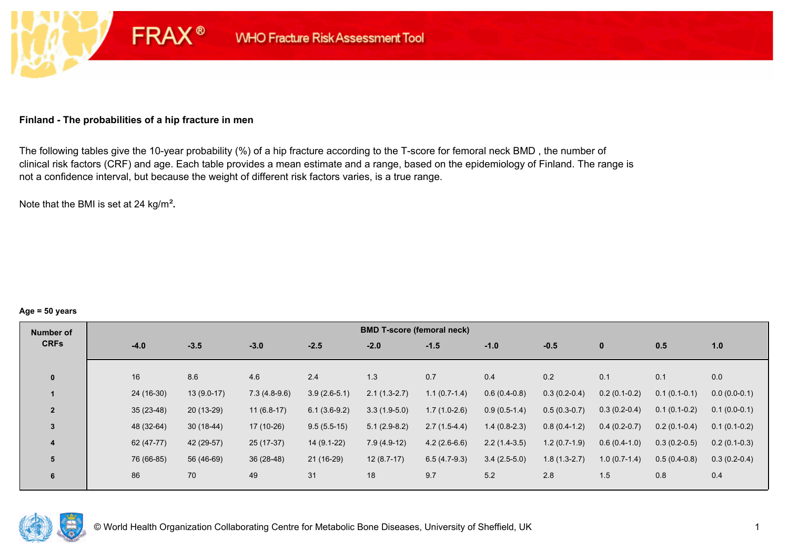### **Finland - The probabilities of a hip fracture in men**

**FRAX®** 

The following tables give the 10-year probability (%) of a hip fracture according to the T-score for femoral neck BMD , the number of clinical risk factors (CRF) and age. Each table provides a mean estimate and a range, based on the epidemiology of Finland. The range is not a confidence interval, but because the weight of different risk factors varies, is a true range.

Note that the BMI is set at 24 kg/m²**.** 

#### **Age = 50 years**

| Number of      |             |              |                |                | <b>BMD T-score (femoral neck)</b> |                |                |                |                |                |                |
|----------------|-------------|--------------|----------------|----------------|-----------------------------------|----------------|----------------|----------------|----------------|----------------|----------------|
| <b>CRFs</b>    | $-4.0$      | $-3.5$       | $-3.0$         | $-2.5$         | $-2.0$                            | $-1.5$         | $-1.0$         | $-0.5$         | $\mathbf{0}$   | 0.5            | 1.0            |
|                |             |              |                |                |                                   |                |                |                |                |                |                |
| $\mathbf{0}$   | 16          | 8.6          | 4.6            | 2.4            | 1.3                               | 0.7            | 0.4            | 0.2            | 0.1            | 0.1            | 0.0            |
|                | 24 (16-30)  | $13(9.0-17)$ | $7.3(4.8-9.6)$ | $3.9(2.6-5.1)$ | $2.1(1.3-2.7)$                    | $1.1(0.7-1.4)$ | $0.6(0.4-0.8)$ | $0.3(0.2-0.4)$ | $0.2(0.1-0.2)$ | $0.1(0.1-0.1)$ | $0.0(0.0-0.1)$ |
| $\overline{2}$ | $35(23-48)$ | 20 (13-29)   | $11(6.8-17)$   | $6.1(3.6-9.2)$ | $3.3(1.9-5.0)$                    | $1.7(1.0-2.6)$ | $0.9(0.5-1.4)$ | $0.5(0.3-0.7)$ | $0.3(0.2-0.4)$ | $0.1(0.1-0.2)$ | $0.1(0.0-0.1)$ |
| $\overline{3}$ | 48 (32-64)  | $30(18-44)$  | 17 (10-26)     | $9.5(5.5-15)$  | $5.1(2.9-8.2)$                    | $2.7(1.5-4.4)$ | $1.4(0.8-2.3)$ | $0.8(0.4-1.2)$ | $0.4(0.2-0.7)$ | $0.2(0.1-0.4)$ | $0.1(0.1-0.2)$ |
| 4              | 62 (47-77)  | 42 (29-57)   | 25 (17-37)     | 14 (9.1-22)    | $7.9(4.9-12)$                     | $4.2(2.6-6.6)$ | $2.2(1.4-3.5)$ | $1.2(0.7-1.9)$ | $0.6(0.4-1.0)$ | $0.3(0.2-0.5)$ | $0.2(0.1-0.3)$ |
| 5              | 76 (66-85)  | 56 (46-69)   | $36(28-48)$    | 21 (16-29)     | $12(8.7-17)$                      | $6.5(4.7-9.3)$ | $3.4(2.5-5.0)$ | $1.8(1.3-2.7)$ | $1.0(0.7-1.4)$ | $0.5(0.4-0.8)$ | $0.3(0.2-0.4)$ |
| 6              | 86          | 70           | 49             | 31             | 18                                | 9.7            | 5.2            | 2.8            | 1.5            | 0.8            | 0.4            |

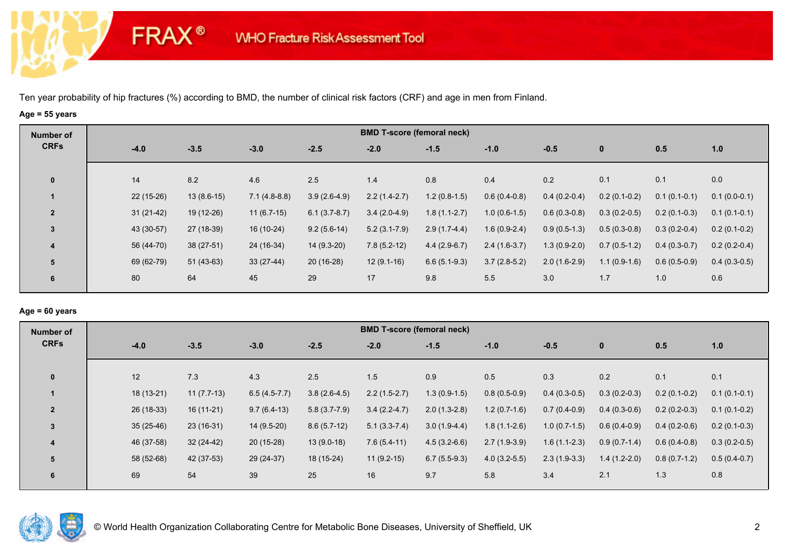**FRAX®** 

# **Age = 55 years**

| Number of      |             |              |                |                | <b>BMD T-score (femoral neck)</b> |                |                |                |                |                |                |
|----------------|-------------|--------------|----------------|----------------|-----------------------------------|----------------|----------------|----------------|----------------|----------------|----------------|
| <b>CRFs</b>    | $-4.0$      | $-3.5$       | $-3.0$         | $-2.5$         | $-2.0$                            | $-1.5$         | $-1.0$         | $-0.5$         | $\bf{0}$       | 0.5            | 1.0            |
| $\mathbf 0$    | 14          | 8.2          | 4.6            | 2.5            | 1.4                               | 0.8            | 0.4            | 0.2            | 0.1            | 0.1            | 0.0            |
|                | $22(15-26)$ | $13(8.6-15)$ | $7.1(4.8-8.8)$ | $3.9(2.6-4.9)$ | $2.2(1.4-2.7)$                    | $1.2(0.8-1.5)$ | $0.6(0.4-0.8)$ | $0.4(0.2-0.4)$ | $0.2(0.1-0.2)$ | $0.1(0.1-0.1)$ | $0.1(0.0-0.1)$ |
| $\overline{2}$ | $31(21-42)$ | 19 (12-26)   | $11(6.7-15)$   | $6.1(3.7-8.7)$ | $3.4(2.0-4.9)$                    | $1.8(1.1-2.7)$ | $1.0(0.6-1.5)$ | $0.6(0.3-0.8)$ | $0.3(0.2-0.5)$ | $0.2(0.1-0.3)$ | $0.1(0.1-0.1)$ |
| $\mathbf{3}$   | 43 (30-57)  | 27 (18-39)   | 16 (10-24)     | $9.2(5.6-14)$  | $5.2(3.1 - 7.9)$                  | $2.9(1.7-4.4)$ | $1.6(0.9-2.4)$ | $0.9(0.5-1.3)$ | $0.5(0.3-0.8)$ | $0.3(0.2-0.4)$ | $0.2(0.1-0.2)$ |
| 4              | 56 (44-70)  | $38(27-51)$  | 24 (16-34)     | 14 (9.3-20)    | $7.8(5.2-12)$                     | $4.4(2.9-6.7)$ | $2.4(1.6-3.7)$ | $1.3(0.9-2.0)$ | $0.7(0.5-1.2)$ | $0.4(0.3-0.7)$ | $0.2(0.2-0.4)$ |
| 5              | 69 (62-79)  | $51(43-63)$  | $33(27-44)$    | 20 (16-28)     | $12(9.1-16)$                      | $6.6(5.1-9.3)$ | $3.7(2.8-5.2)$ | $2.0(1.6-2.9)$ | $1.1(0.9-1.6)$ | $0.6(0.5-0.9)$ | $0.4(0.3-0.5)$ |
| 6              | 80          | 64           | 45             | 29             | 17                                | 9.8            | 5.5            | 3.0            | 1.7            | 1.0            | 0.6            |

### **Age = 60 years**

| Number of      |             |              |                |                | <b>BMD T-score (femoral neck)</b> |                |                |                |                |                |                |
|----------------|-------------|--------------|----------------|----------------|-----------------------------------|----------------|----------------|----------------|----------------|----------------|----------------|
| <b>CRFs</b>    | $-4.0$      | $-3.5$       | $-3.0$         | $-2.5$         | $-2.0$                            | $-1.5$         | $-1.0$         | $-0.5$         | $\mathbf 0$    | 0.5            | 1.0            |
| $\mathbf{0}$   | 12          | 7.3          | 4.3            | 2.5            | 1.5                               | 0.9            | 0.5            | 0.3            | 0.2            | 0.1            | 0.1            |
|                | 18 (13-21)  | $11(7.7-13)$ | $6.5(4.5-7.7)$ | $3.8(2.6-4.5)$ | $2.2(1.5-2.7)$                    | $1.3(0.9-1.5)$ | $0.8(0.5-0.9)$ | $0.4(0.3-0.5)$ | $0.3(0.2-0.3)$ | $0.2(0.1-0.2)$ | $0.1(0.1-0.1)$ |
| $\overline{2}$ | 26 (18-33)  | $16(11-21)$  | $9.7(6.4-13)$  | $5.8(3.7-7.9)$ | $3.4(2.2-4.7)$                    | $2.0(1.3-2.8)$ | $1.2(0.7-1.6)$ | $0.7(0.4-0.9)$ | $0.4(0.3-0.6)$ | $0.2(0.2-0.3)$ | $0.1(0.1-0.2)$ |
| 3              | $35(25-46)$ | $23(16-31)$  | 14 (9.5-20)    | $8.6(5.7-12)$  | $5.1(3.3-7.4)$                    | $3.0(1.9-4.4)$ | $1.8(1.1-2.6)$ | $1.0(0.7-1.5)$ | $0.6(0.4-0.9)$ | $0.4(0.2-0.6)$ | $0.2(0.1-0.3)$ |
| 4              | 46 (37-58)  | $32(24-42)$  | $20(15-28)$    | $13(9.0-18)$   | $7.6(5.4-11)$                     | $4.5(3.2-6.6)$ | $2.7(1.9-3.9)$ | $1.6(1.1-2.3)$ | $0.9(0.7-1.4)$ | $0.6(0.4-0.8)$ | $0.3(0.2-0.5)$ |
| 5              | 58 (52-68)  | 42 (37-53)   | 29 (24-37)     | 18 (15-24)     | $11(9.2-15)$                      | $6.7(5.5-9.3)$ | $4.0(3.2-5.5)$ | $2.3(1.9-3.3)$ | $1.4(1.2-2.0)$ | $0.8(0.7-1.2)$ | $0.5(0.4-0.7)$ |
| 6              | 69          | 54           | 39             | 25             | 16                                | 9.7            | 5.8            | 3.4            | 2.1            | 1.3            | 0.8            |

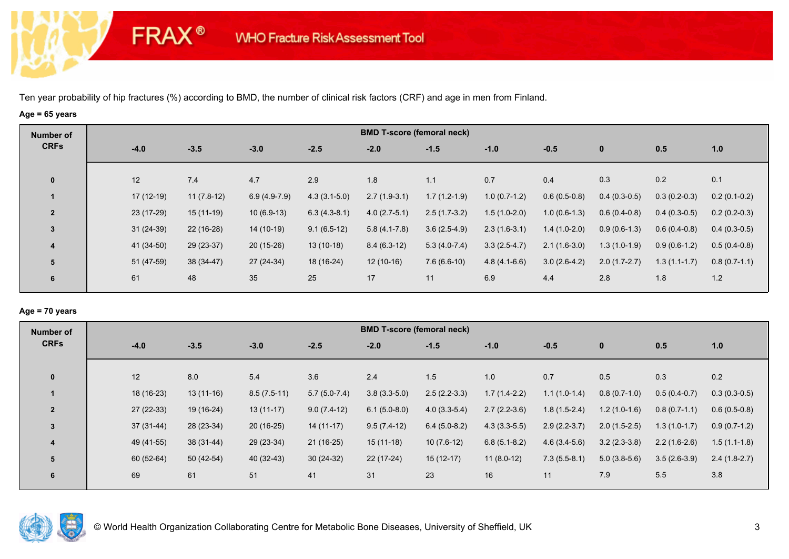**FRAX®** 

# **Age = 65 years**

| Number of               |             |              |                |                | <b>BMD T-score (femoral neck)</b> |                |                |                |                |                |                |
|-------------------------|-------------|--------------|----------------|----------------|-----------------------------------|----------------|----------------|----------------|----------------|----------------|----------------|
| <b>CRFs</b>             | $-4.0$      | $-3.5$       | $-3.0$         | $-2.5$         | $-2.0$                            | $-1.5$         | $-1.0$         | $-0.5$         | $\bf{0}$       | 0.5            | 1.0            |
| $\mathbf 0$             | 12          | 7.4          | 4.7            | 2.9            | 1.8                               | 1.1            | 0.7            | 0.4            | 0.3            | 0.2            | 0.1            |
|                         |             |              |                |                |                                   |                |                |                |                |                |                |
| $\mathbf 1$             | $17(12-19)$ | $11(7.8-12)$ | $6.9(4.9-7.9)$ | $4.3(3.1-5.0)$ | $2.7(1.9-3.1)$                    | $1.7(1.2-1.9)$ | $1.0(0.7-1.2)$ | $0.6(0.5-0.8)$ | $0.4(0.3-0.5)$ | $0.3(0.2-0.3)$ | $0.2(0.1-0.2)$ |
| $\overline{2}$          | 23 (17-29)  | 15 (11-19)   | $10(6.9-13)$   | $6.3(4.3-8.1)$ | $4.0(2.7-5.1)$                    | $2.5(1.7-3.2)$ | $1.5(1.0-2.0)$ | $1.0(0.6-1.3)$ | $0.6(0.4-0.8)$ | $0.4(0.3-0.5)$ | $0.2(0.2-0.3)$ |
| $\mathbf{3}$            | $31(24-39)$ | $22(16-28)$  | 14 (10-19)     | $9.1(6.5-12)$  | $5.8(4.1 - 7.8)$                  | $3.6(2.5-4.9)$ | $2.3(1.6-3.1)$ | $1.4(1.0-2.0)$ | $0.9(0.6-1.3)$ | $0.6(0.4-0.8)$ | $0.4(0.3-0.5)$ |
| $\overline{\mathbf{4}}$ | 41 (34-50)  | $29(23-37)$  | $20(15-26)$    | $13(10-18)$    | $8.4(6.3-12)$                     | $5.3(4.0-7.4)$ | $3.3(2.5-4.7)$ | $2.1(1.6-3.0)$ | $1.3(1.0-1.9)$ | $0.9(0.6-1.2)$ | $0.5(0.4-0.8)$ |
| 5                       | 51 (47-59)  | 38 (34-47)   | 27 (24-34)     | 18 (16-24)     | $12(10-16)$                       | $7.6(6.6-10)$  | $4.8(4.1-6.6)$ | $3.0(2.6-4.2)$ | $2.0(1.7-2.7)$ | $1.3(1.1-1.7)$ | $0.8(0.7-1.1)$ |
| 6                       | 61          | 48           | 35             | 25             | 17                                | 11             | 6.9            | 4.4            | 2.8            | 1.8            | 1.2            |

### **Age = 70 years**

| Number of      |             |             |               |                | <b>BMD T-score (femoral neck)</b> |                |                |                |                |                |                |
|----------------|-------------|-------------|---------------|----------------|-----------------------------------|----------------|----------------|----------------|----------------|----------------|----------------|
| <b>CRFs</b>    | $-4.0$      | $-3.5$      | $-3.0$        | $-2.5$         | $-2.0$                            | $-1.5$         | $-1.0$         | $-0.5$         | $\mathbf 0$    | 0.5            | 1.0            |
| $\mathbf{0}$   | 12          | 8.0         | 5.4           | 3.6            | 2.4                               | 1.5            | 1.0            | 0.7            | 0.5            | 0.3            | 0.2            |
|                |             |             |               |                |                                   |                |                |                |                |                |                |
|                | 18 (16-23)  | $13(11-16)$ | $8.5(7.5-11)$ | $5.7(5.0-7.4)$ | $3.8(3.3-5.0)$                    | $2.5(2.2-3.3)$ | $1.7(1.4-2.2)$ | $1.1(1.0-1.4)$ | $0.8(0.7-1.0)$ | $0.5(0.4-0.7)$ | $0.3(0.3-0.5)$ |
| $\overline{2}$ | $27(22-33)$ | 19 (16-24)  | $13(11-17)$   | $9.0(7.4-12)$  | $6.1(5.0-8.0)$                    | $4.0(3.3-5.4)$ | $2.7(2.2-3.6)$ | $1.8(1.5-2.4)$ | $1.2(1.0-1.6)$ | $0.8(0.7-1.1)$ | $0.6(0.5-0.8)$ |
| $\overline{3}$ | $37(31-44)$ | 28 (23-34)  | $20(16-25)$   | $14(11-17)$    | $9.5(7.4-12)$                     | $6.4(5.0-8.2)$ | $4.3(3.3-5.5)$ | $2.9(2.2-3.7)$ | $2.0(1.5-2.5)$ | $1.3(1.0-1.7)$ | $0.9(0.7-1.2)$ |
| 4              | 49 (41-55)  | 38 (31-44)  | $29(23-34)$   | $21(16-25)$    | $15(11-18)$                       | $10(7.6-12)$   | $6.8(5.1-8.2)$ | $4.6(3.4-5.6)$ | $3.2(2.3-3.8)$ | $2.2(1.6-2.6)$ | $1.5(1.1-1.8)$ |
| 5              | 60 (52-64)  | $50(42-54)$ | 40 (32-43)    | $30(24-32)$    | $22(17-24)$                       | $15(12-17)$    | $11(8.0-12)$   | $7.3(5.5-8.1)$ | $5.0(3.8-5.6)$ | $3.5(2.6-3.9)$ | $2.4(1.8-2.7)$ |
| 6              | 69          | 61          | 51            | 41             | 31                                | 23             | 16             | 11             | 7.9            | 5.5            | 3.8            |

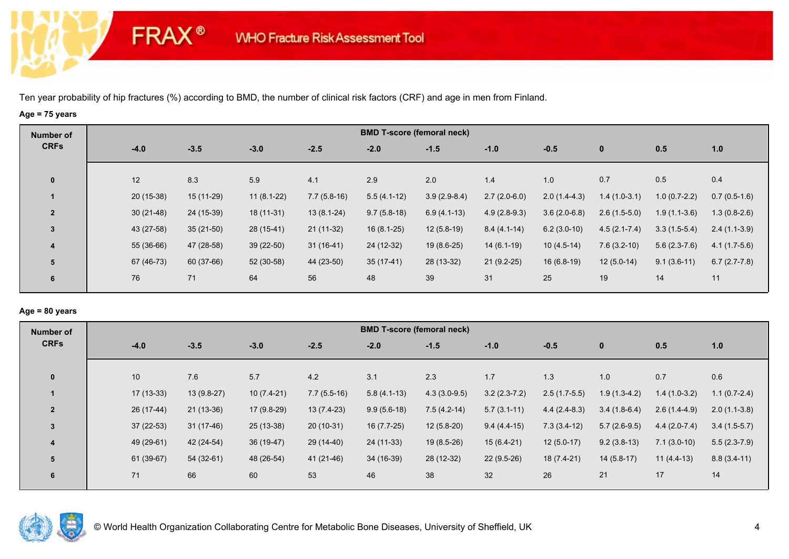**FRAX®** 

# **Age = 75 years**

| Number of      |             |             |              |               |               | <b>BMD T-score (femoral neck)</b> |                |                |                  |                |                |
|----------------|-------------|-------------|--------------|---------------|---------------|-----------------------------------|----------------|----------------|------------------|----------------|----------------|
| <b>CRFs</b>    | $-4.0$      | $-3.5$      | $-3.0$       | $-2.5$        | $-2.0$        | $-1.5$                            | $-1.0$         | $-0.5$         | $\mathbf 0$      | 0.5            | 1.0            |
| $\mathbf 0$    | 12          | 8.3         | 5.9          | 4.1           | 2.9           | 2.0                               | 1.4            | 1.0            | 0.7              | 0.5            | 0.4            |
|                | $20(15-38)$ | $15(11-29)$ | $11(8.1-22)$ | $7.7(5.8-16)$ | $5.5(4.1-12)$ | $3.9(2.9-8.4)$                    | $2.7(2.0-6.0)$ | $2.0(1.4-4.3)$ | $1.4(1.0-3.1)$   | $1.0(0.7-2.2)$ | $0.7(0.5-1.6)$ |
| $\overline{2}$ | $30(21-48)$ | 24 (15-39)  | 18 (11-31)   | $13(8.1-24)$  | $9.7(5.8-18)$ | $6.9(4.1-13)$                     | $4.9(2.8-9.3)$ | $3.6(2.0-6.8)$ | $2.6(1.5-5.0)$   | $1.9(1.1-3.6)$ | $1.3(0.8-2.6)$ |
| $\mathbf{3}$   | 43 (27-58)  | $35(21-50)$ | 28 (15-41)   | $21(11-32)$   | $16(8.1-25)$  | $12(5.8-19)$                      | $8.4(4.1-14)$  | $6.2(3.0-10)$  | $4.5(2.1 - 7.4)$ | $3.3(1.5-5.4)$ | $2.4(1.1-3.9)$ |
| 4              | 55 (36-66)  | 47 (28-58)  | $39(22-50)$  | $31(16-41)$   | 24 (12-32)    | $19(8.6-25)$                      | $14(6.1-19)$   | $10(4.5-14)$   | $7.6(3.2-10)$    | $5.6(2.3-7.6)$ | $4.1(1.7-5.6)$ |
| 5              | 67 (46-73)  | 60 (37-66)  | 52 (30-58)   | 44 (23-50)    | $35(17-41)$   | 28 (13-32)                        | $21(9.2-25)$   | $16(6.8-19)$   | $12(5.0-14)$     | $9.1(3.6-11)$  | $6.7(2.7-7.8)$ |
| 6              | 76          | 71          | 64           | 56            | 48            | 39                                | 31             | 25             | 19               | 14             | 11             |

### **Age = 80 years**

| <b>Number of</b> |        |             |              |              |               | <b>BMD T-score (femoral neck)</b> |                |                |                |                |                |                |
|------------------|--------|-------------|--------------|--------------|---------------|-----------------------------------|----------------|----------------|----------------|----------------|----------------|----------------|
| <b>CRFs</b>      | $-4.0$ |             | $-3.5$       | $-3.0$       | $-2.5$        | $-2.0$                            | $-1.5$         | $-1.0$         | $-0.5$         | $\mathbf 0$    | 0.5            | 1.0            |
| $\mathbf{0}$     | 10     |             | 7.6          | 5.7          | 4.2           | 3.1                               | 2.3            | 1.7            | 1.3            | 1.0            | 0.7            | 0.6            |
|                  |        | $17(13-33)$ | $13(9.8-27)$ | $10(7.4-21)$ | $7.7(5.5-16)$ | $5.8(4.1-13)$                     | $4.3(3.0-9.5)$ | $3.2(2.3-7.2)$ | $2.5(1.7-5.5)$ | $1.9(1.3-4.2)$ | $1.4(1.0-3.2)$ | $1.1(0.7-2.4)$ |
| $\overline{2}$   |        | 26 (17-44)  | $21(13-36)$  | 17 (9.8-29)  | $13(7.4-23)$  | $9.9(5.6-18)$                     | $7.5(4.2-14)$  | $5.7(3.1-11)$  | $4.4(2.4-8.3)$ | $3.4(1.8-6.4)$ | $2.6(1.4-4.9)$ | $2.0(1.1-3.8)$ |
| $\overline{3}$   |        | $37(22-53)$ | 31 (17-46)   | $25(13-38)$  | $20(10-31)$   | $16(7.7-25)$                      | $12(5.8-20)$   | $9.4(4.4-15)$  | $7.3(3.4-12)$  | $5.7(2.6-9.5)$ | $4.4(2.0-7.4)$ | $3.4(1.5-5.7)$ |
| 4                |        | 49 (29-61)  | 42 (24-54)   | 36 (19-47)   | 29 (14-40)    | 24 (11-33)                        | $19(8.5-26)$   | $15(6.4-21)$   | $12(5.0-17)$   | $9.2(3.8-13)$  | $7.1(3.0-10)$  | $5.5(2.3-7.9)$ |
| 5                |        | 61 (39-67)  | 54 (32-61)   | 48 (26-54)   | 41 (21-46)    | 34 (16-39)                        | 28 (12-32)     | $22(9.5-26)$   | 18 (7.4-21)    | $14(5.8-17)$   | $11(4.4-13)$   | $8.8(3.4-11)$  |
| 6                | 71     |             | 66           | 60           | 53            | 46                                | 38             | 32             | 26             | 21             | 17             | 14             |